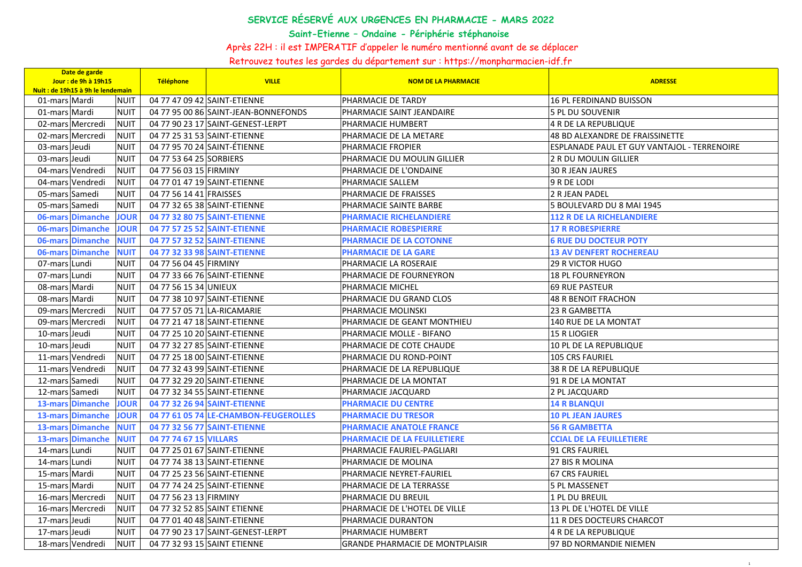## **SERVICE RÉSERVÉ AUX URGENCES EN PHARMACIE - MARS 2022**

**Saint-Etienne – Ondaine - Périphérie stéphanoise** 

Après 22H : il est IMPERATIF d'appeler le numéro mentionné avant de se déplacer

Retrouvez toutes les gardes du département sur : https://monpharmacien-idf.fr

| Date de garde<br>Jour: de 9h à 19h15<br>Nuit : de 19h15 à 9h le lendemain |             | Téléphone               | <b>VILLE</b>                          | <b>NOM DE LA PHARMACIE</b>             | <b>ADRESSE</b>                              |
|---------------------------------------------------------------------------|-------------|-------------------------|---------------------------------------|----------------------------------------|---------------------------------------------|
| 01-mars Mardi                                                             | <b>NUIT</b> |                         | 04 77 47 09 42 SAINT-ETIENNE          | PHARMACIE DE TARDY                     | <b>16 PL FERDINAND BUISSON</b>              |
| 01-mars Mardi                                                             | <b>NUIT</b> |                         | 04 77 95 00 86 SAINT-JEAN-BONNEFONDS  | PHARMACIE SAINT JEANDAIRE              | 5 PL DU SOUVENIR                            |
| 02-mars Mercredi                                                          | <b>NUIT</b> |                         | 04 77 90 23 17 SAINT-GENEST-LERPT     | PHARMACIE HUMBERT                      | <b>4 R DE LA REPUBLIQUE</b>                 |
| 02-mars Mercredi                                                          | <b>NUIT</b> |                         | 04 77 25 31 53 SAINT-ETIENNE          | PHARMACIE DE LA METARE                 | <b>48 BD ALEXANDRE DE FRAISSINETTE</b>      |
| 03-mars Jeudi                                                             | <b>NUIT</b> |                         | 04 77 95 70 24 SAINT-ÉTIENNE          | PHARMACIE FROPIER                      | ESPLANADE PAUL ET GUY VANTAJOL - TERRENOIRE |
| 03-mars Jeudi                                                             | <b>NUIT</b> | 04 77 53 64 25 SORBIERS |                                       | PHARMACIE DU MOULIN GILLIER            | 2 R DU MOULIN GILLIER                       |
| 04-mars Vendredi                                                          | <b>NUIT</b> | 04 77 56 03 15 FIRMINY  |                                       | PHARMACIE DE L'ONDAINE                 | <b>30 R JEAN JAURES</b>                     |
| 04-mars Vendredi                                                          | <b>NUIT</b> |                         | 04 77 01 47 19 SAINT-ETIENNE          | PHARMACIE SALLEM                       | 9 R DE LODI                                 |
| 05-mars Samedi                                                            | <b>NUIT</b> | 04 77 56 14 41 FRAISSES |                                       | PHARMACIE DE FRAISSES                  | 2 R JEAN PADEL                              |
| 05-mars Samedi                                                            | <b>NUIT</b> |                         | 04 77 32 65 38 SAINT-ETIENNE          | PHARMACIE SAINTE BARBE                 | 5 BOULEVARD DU 8 MAI 1945                   |
| 06-mars Dimanche                                                          | <b>JOUR</b> |                         | 04 77 32 80 75 SAINT-ETIENNE          | <b>PHARMACIE RICHELANDIERE</b>         | <b>112 R DE LA RICHELANDIERE</b>            |
| 06-mars Dimanche                                                          | <b>JOUR</b> |                         | 04 77 57 25 52 SAINT-ETIENNE          | <b>PHARMACIE ROBESPIERRE</b>           | <b>17 R ROBESPIERRE</b>                     |
| 06-mars Dimanche                                                          | <b>NUIT</b> |                         | 04 77 57 32 52 SAINT-ETIENNE          | <b>PHARMACIE DE LA COTONNE</b>         | <b>6 RUE DU DOCTEUR POTY</b>                |
| 06-mars Dimanche                                                          | <b>NUIT</b> |                         | 04 77 32 33 98 SAINT-ETIENNE          | <b>PHARMACIE DE LA GARE</b>            | <b>13 AV DENFERT ROCHEREAU</b>              |
| 07-mars Lundi                                                             | <b>NUIT</b> | 04 77 56 04 45 FIRMINY  |                                       | PHARMACIE LA ROSERAIE                  | <b>29 R VICTOR HUGO</b>                     |
| 07-mars Lundi                                                             | <b>NUIT</b> |                         | 04 77 33 66 76 SAINT-ETIENNE          | PHARMACIE DE FOURNEYRON                | <b>18 PL FOURNEYRON</b>                     |
| 08-mars Mardi                                                             | <b>NUIT</b> | 04 77 56 15 34 UNIEUX   |                                       | PHARMACIE MICHEL                       | <b>69 RUE PASTEUR</b>                       |
| 08-mars Mardi                                                             | <b>NUIT</b> |                         | 04 77 38 10 97 SAINT-ETIENNE          | PHARMACIE DU GRAND CLOS                | <b>48 R BENOIT FRACHON</b>                  |
| 09-mars Mercredi                                                          | <b>NUIT</b> |                         | 04 77 57 05 71 LA-RICAMARIE           | PHARMACIE MOLINSKI                     | 23 R GAMBETTA                               |
| 09-mars Mercredi                                                          | <b>NUIT</b> |                         | 04 77 21 47 18 SAINT-ETIENNE          | PHARMACIE DE GEANT MONTHIEU            | <b>140 RUE DE LA MONTAT</b>                 |
| 10-mars Jeudi                                                             | <b>NUIT</b> |                         | 04 77 25 10 20 SAINT-ETIENNE          | PHARMACIE MOLLE - BIFANO               | <b>15 R LIOGIER</b>                         |
| 10-mars Jeudi                                                             | <b>NUIT</b> |                         | 04 77 32 27 85 SAINT-ETIENNE          | PHARMACIE DE COTE CHAUDE               | 10 PL DE LA REPUBLIQUE                      |
| 11-mars Vendredi                                                          | <b>NUIT</b> |                         | 04 77 25 18 00 SAINT-ETIENNE          | PHARMACIE DU ROND-POINT                | 105 CRS FAURIEL                             |
| 11-mars Vendredi                                                          | <b>NUIT</b> |                         | 04 77 32 43 99 SAINT-ETIENNE          | PHARMACIE DE LA REPUBLIQUE             | <b>38 R DE LA REPUBLIQUE</b>                |
| 12-mars Samedi                                                            | <b>NUIT</b> |                         | 04 77 32 29 20 SAINT-ETIENNE          | PHARMACIE DE LA MONTAT                 | 91 R DE LA MONTAT                           |
| 12-mars Samedi                                                            | <b>NUIT</b> |                         | 04 77 32 34 55 SAINT-ETIENNE          | PHARMACIE JACQUARD                     | 2 PL JACQUARD                               |
| <b>13-mars Dimanche</b>                                                   | <b>JOUR</b> |                         | 04 77 32 26 94 SAINT-ETIENNE          | <b>PHARMACIE DU CENTRE</b>             | <b>14 R BLANQUI</b>                         |
| <b>13-mars Dimanche</b>                                                   | <b>JOUR</b> |                         | 04 77 61 05 74 LE-CHAMBON-FEUGEROLLES | <b>PHARMACIE DU TRESOR</b>             | <b>10 PL JEAN JAURES</b>                    |
| <b>13-mars Dimanche</b>                                                   | <b>NUIT</b> |                         | 04 77 32 56 77 SAINT-ETIENNE          | <b>PHARMACIE ANATOLE FRANCE</b>        | <b>56 R GAMBETTA</b>                        |
| <b>13-mars Dimanche</b>                                                   | <b>NUIT</b> | 04 77 74 67 15 VILLARS  |                                       | <b>PHARMACIE DE LA FEUILLETIERE</b>    | <b>CCIAL DE LA FEUILLETIERE</b>             |
| 14-mars Lundi                                                             | <b>NUIT</b> |                         | 04 77 25 01 67 SAINT-ETIENNE          | PHARMACIE FAURIEL-PAGLIARI             | 91 CRS FAURIEL                              |
| 14-mars Lundi                                                             | <b>NUIT</b> |                         | 04 77 74 38 13 SAINT-ETIENNE          | PHARMACIE DE MOLINA                    | 27 BIS R MOLINA                             |
| 15-mars Mardi                                                             | <b>NUIT</b> |                         | 04 77 25 23 56 SAINT-ETIENNE          | PHARMACIE NEYRET-FAURIEL               | <b>67 CRS FAURIEL</b>                       |
| 15-mars Mardi                                                             | <b>NUIT</b> |                         | 04 77 74 24 25 SAINT-ETIENNE          | PHARMACIE DE LA TERRASSE               | <b>5 PL MASSENET</b>                        |
| 16-mars Mercredi                                                          | <b>NUIT</b> | 04 77 56 23 13 FIRMINY  |                                       | PHARMACIE DU BREUIL                    | <b>1 PL DU BREUIL</b>                       |
| 16-mars Mercredi                                                          | <b>NUIT</b> |                         | 04 77 32 52 85 SAINT ETIENNE          | PHARMACIE DE L'HOTEL DE VILLE          | 13 PL DE L'HOTEL DE VILLE                   |
| 17-mars Jeudi                                                             | <b>NUIT</b> |                         | 04 77 01 40 48 SAINT-ETIENNE          | PHARMACIE DURANTON                     | 11 R DES DOCTEURS CHARCOT                   |
| 17-mars Jeudi                                                             | <b>NUIT</b> |                         | 04 77 90 23 17 SAINT-GENEST-LERPT     | PHARMACIE HUMBERT                      | 4 R DE LA REPUBLIQUE                        |
| 18-mars Vendredi                                                          | <b>NUIT</b> |                         | 04 77 32 93 15 SAINT ETIENNE          | <b>GRANDE PHARMACIE DE MONTPLAISIR</b> | 97 BD NORMANDIE NIEMEN                      |